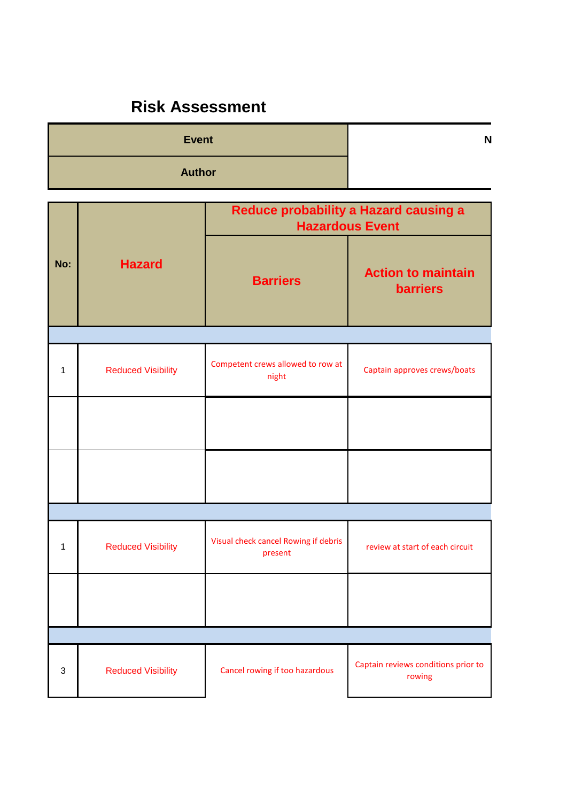## **Risk Assessment**

| Event         | N |
|---------------|---|
| <b>Author</b> |   |

|     |                           | Reduce probability a Hazard causing a<br><b>Hazardous Event</b> |                                               |  |
|-----|---------------------------|-----------------------------------------------------------------|-----------------------------------------------|--|
| No: | <b>Hazard</b>             | <b>Barriers</b>                                                 | <b>Action to maintain</b><br><b>barriers</b>  |  |
|     |                           |                                                                 |                                               |  |
| 1   | <b>Reduced Visibility</b> | Competent crews allowed to row at<br>night                      | Captain approves crews/boats                  |  |
|     |                           |                                                                 |                                               |  |
|     |                           |                                                                 |                                               |  |
|     |                           |                                                                 |                                               |  |
| 1   | <b>Reduced Visibility</b> | Visual check cancel Rowing if debris<br>present                 | review at start of each circuit               |  |
|     |                           |                                                                 |                                               |  |
|     |                           |                                                                 |                                               |  |
| 3   | <b>Reduced Visibility</b> | Cancel rowing if too hazardous                                  | Captain reviews conditions prior to<br>rowing |  |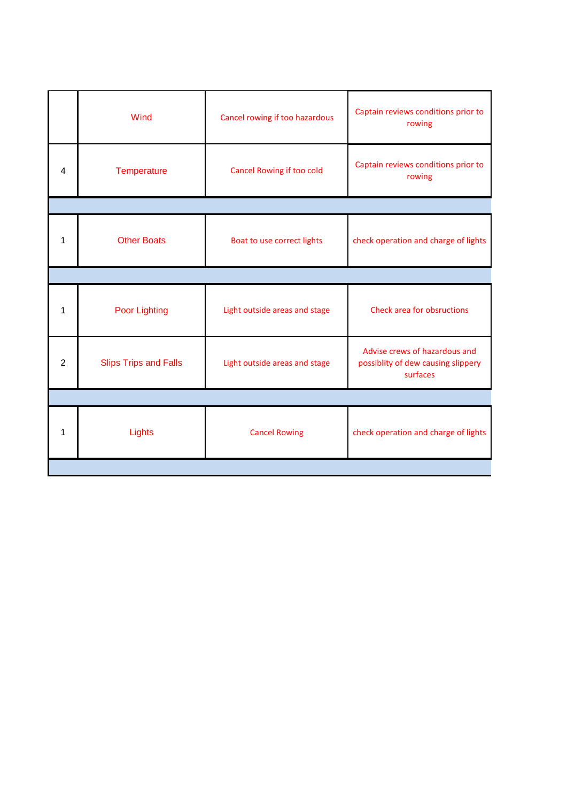|   | Wind                         | Cancel rowing if too hazardous | Captain reviews conditions prior to<br>rowing                                   |  |
|---|------------------------------|--------------------------------|---------------------------------------------------------------------------------|--|
| 4 | Temperature                  | Cancel Rowing if too cold      | Captain reviews conditions prior to<br>rowing                                   |  |
|   |                              |                                |                                                                                 |  |
| 1 | <b>Other Boats</b>           | Boat to use correct lights     | check operation and charge of lights                                            |  |
|   |                              |                                |                                                                                 |  |
| 1 | <b>Poor Lighting</b>         | Light outside areas and stage  | <b>Check area for obsructions</b>                                               |  |
| 2 | <b>Slips Trips and Falls</b> | Light outside areas and stage  | Advise crews of hazardous and<br>possiblity of dew causing slippery<br>surfaces |  |
|   |                              |                                |                                                                                 |  |
| 1 | Lights                       | <b>Cancel Rowing</b>           | check operation and charge of lights                                            |  |
|   |                              |                                |                                                                                 |  |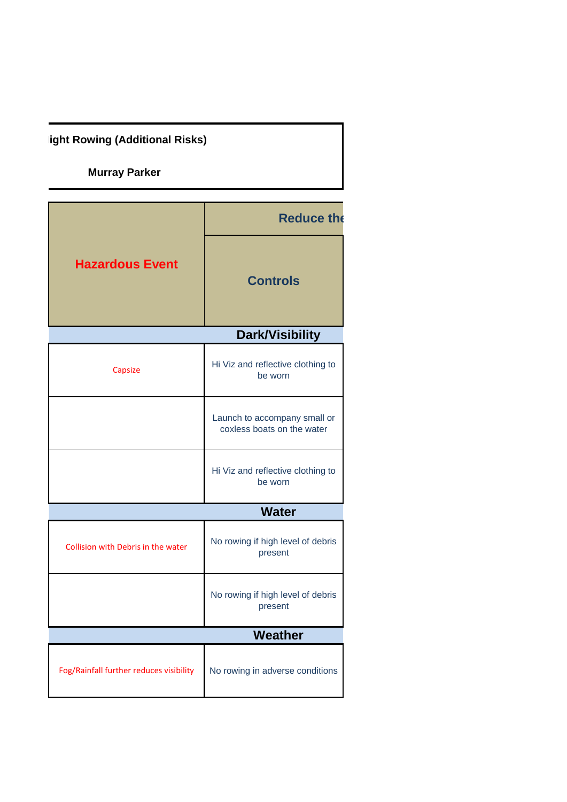**ight Rowing (Additional Risks)** 

**Murray Parker**

|                                         | <b>Reduce the</b>                                          |  |
|-----------------------------------------|------------------------------------------------------------|--|
| <b>Hazardous Event</b>                  | <b>Controls</b>                                            |  |
|                                         | <b>Dark/Visibility</b>                                     |  |
| Capsize                                 | Hi Viz and reflective clothing to<br>be worn               |  |
|                                         | Launch to accompany small or<br>coxless boats on the water |  |
|                                         | Hi Viz and reflective clothing to<br>be worn               |  |
|                                         | <b>Water</b>                                               |  |
| Collision with Debris in the water      | No rowing if high level of debris<br>present               |  |
|                                         | No rowing if high level of debris<br>present               |  |
|                                         | Weather                                                    |  |
| Fog/Rainfall further reduces visibility | No rowing in adverse conditions                            |  |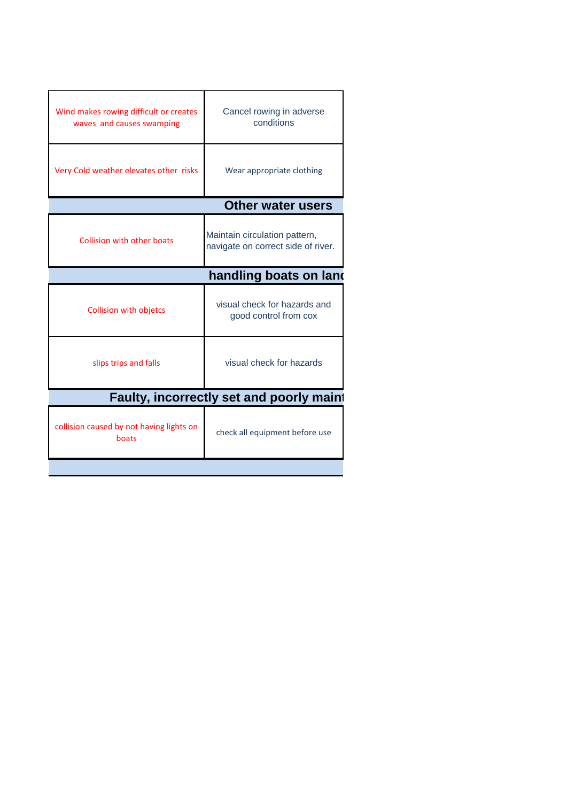| Wind makes rowing difficult or creates<br>waves and causes swamping | Cancel rowing in adverse<br>conditions                              |  |  |
|---------------------------------------------------------------------|---------------------------------------------------------------------|--|--|
| Very Cold weather elevates other risks                              | Wear appropriate clothing                                           |  |  |
|                                                                     | <b>Other water users</b>                                            |  |  |
| <b>Collision with other boats</b>                                   | Maintain circulation pattern,<br>navigate on correct side of river. |  |  |
| handling boats on land                                              |                                                                     |  |  |
| <b>Collision with objetcs</b>                                       | visual check for hazards and<br>good control from cox               |  |  |
| slips trips and falls                                               | visual check for hazards                                            |  |  |
| Faulty, incorrectly set and poorly maint                            |                                                                     |  |  |
| collision caused by not having lights on<br>boats                   | check all equipment before use                                      |  |  |
|                                                                     |                                                                     |  |  |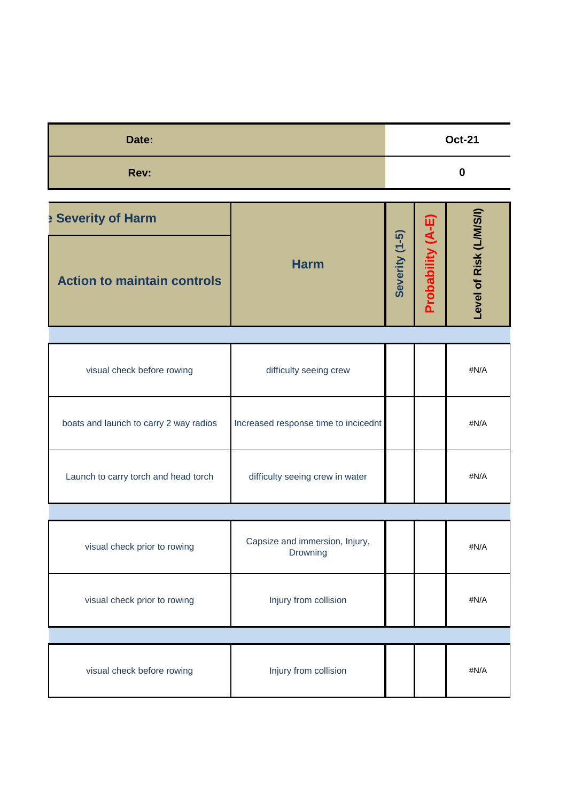| Date: | <b>Oct-21</b> |
|-------|---------------|
| Rev:  |               |

| <b>Severity of Harm</b>            |             |                       | ៣                                      |                        |
|------------------------------------|-------------|-----------------------|----------------------------------------|------------------------|
| <b>Action to maintain controls</b> | <b>Harm</b> | $(1 - 5)$<br>Severity | ๔<br>lity<br>5<br><u>ვე</u><br>Ο<br>o. | evel of Risk (L/M/S/I) |

| Level of Risk (L/M/S/ |
|-----------------------|
|                       |
| #N/A                  |
| #N/A                  |
| #N/A                  |
|                       |
| #N/A                  |
| #N/A                  |
|                       |
| #N/A                  |
|                       |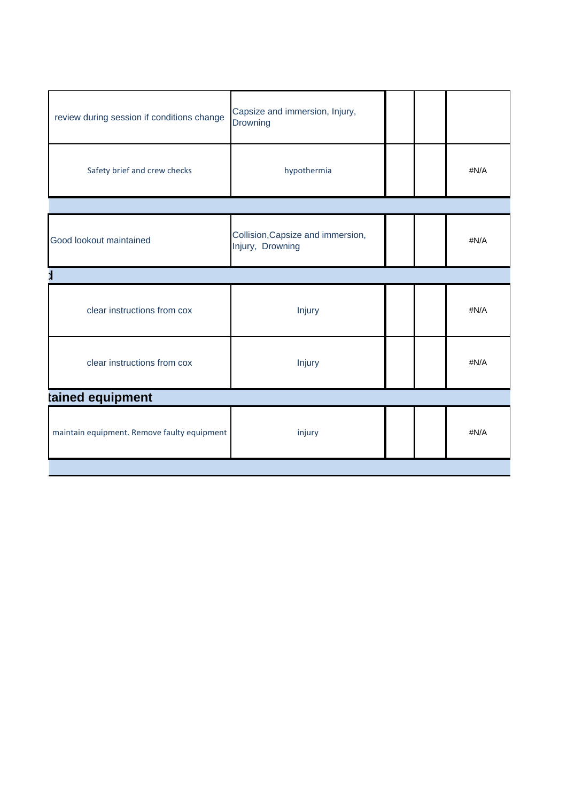| review during session if conditions change  | Capsize and immersion, Injury,<br>Drowning            |  |  |      |
|---------------------------------------------|-------------------------------------------------------|--|--|------|
| Safety brief and crew checks                | hypothermia                                           |  |  | #N/A |
|                                             |                                                       |  |  |      |
| Good lookout maintained                     | Collision, Capsize and immersion,<br>Injury, Drowning |  |  | #N/A |
|                                             |                                                       |  |  |      |
| clear instructions from cox                 | Injury                                                |  |  | #N/A |
| clear instructions from cox                 | Injury                                                |  |  | #N/A |
| tained equipment                            |                                                       |  |  |      |
| maintain equipment. Remove faulty equipment | injury                                                |  |  | #N/A |
|                                             |                                                       |  |  |      |